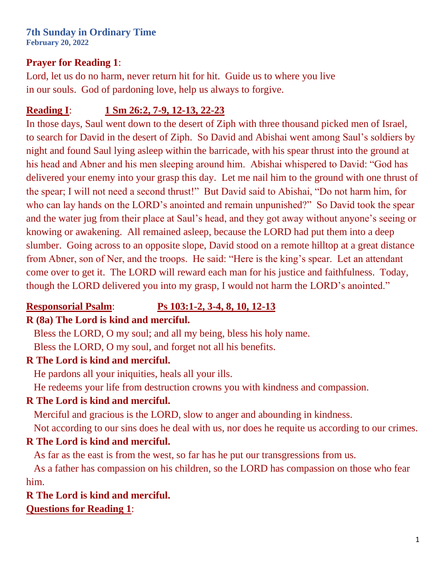# **7th Sunday in Ordinary Time**

**February 20, 2022**

#### **Prayer for Reading 1**:

Lord, let us do no harm, never return hit for hit. Guide us to where you live in our souls. God of pardoning love, help us always to forgive.

## **Reading I**: **[1 Sm 26:2, 7-9, 12-13, 22-23](https://bible.usccb.org/bible/1samuel/26?2)**

In those days, Saul went down to the desert of Ziph with three thousand picked men of Israel, to search for David in the desert of Ziph. So David and Abishai went among Saul's soldiers by night and found Saul lying asleep within the barricade, with his spear thrust into the ground at his head and Abner and his men sleeping around him. Abishai whispered to David: "God has delivered your enemy into your grasp this day. Let me nail him to the ground with one thrust of the spear; I will not need a second thrust!" But David said to Abishai, "Do not harm him, for who can lay hands on the LORD's anointed and remain unpunished?" So David took the spear and the water jug from their place at Saul's head, and they got away without anyone's seeing or knowing or awakening. All remained asleep, because the LORD had put them into a deep slumber. Going across to an opposite slope, David stood on a remote hilltop at a great distance from Abner, son of Ner, and the troops. He said: "Here is the king's spear. Let an attendant come over to get it. The LORD will reward each man for his justice and faithfulness. Today, though the LORD delivered you into my grasp, I would not harm the LORD's anointed."

## **Responsorial Psalm**: **[Ps 103:1-2, 3-4, 8, 10, 12-13](https://bible.usccb.org/bible/psalms/103?1)**

## **R (8a) The Lord is kind and merciful.**

 Bless the LORD, O my soul; and all my being, bless his holy name. Bless the LORD, O my soul, and forget not all his benefits.

## **R The Lord is kind and merciful.**

He pardons all your iniquities, heals all your ills.

He redeems your life from destruction crowns you with kindness and compassion.

## **R The Lord is kind and merciful.**

Merciful and gracious is the LORD, slow to anger and abounding in kindness.

Not according to our sins does he deal with us, nor does he requite us according to our crimes.

## **R The Lord is kind and merciful.**

As far as the east is from the west, so far has he put our transgressions from us.

 As a father has compassion on his children, so the LORD has compassion on those who fear him.

## **R The Lord is kind and merciful. Questions for Reading 1**: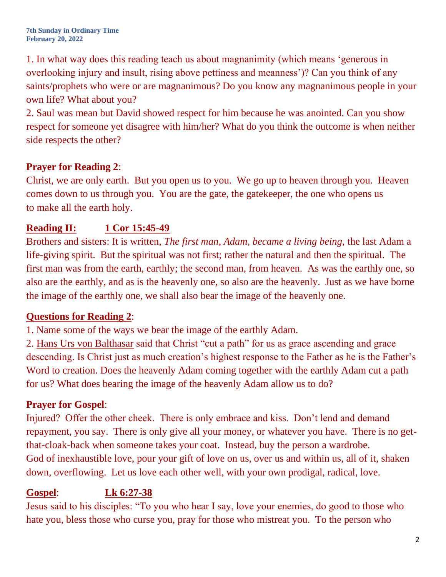**7th Sunday in Ordinary Time February 20, 2022**

1. In what way does this reading teach us about magnanimity (which means 'generous in overlooking injury and insult, rising above pettiness and meanness')? Can you think of any saints/prophets who were or are magnanimous? Do you know any magnanimous people in your own life? What about you?

2. Saul was mean but David showed respect for him because he was anointed. Can you show respect for someone yet disagree with him/her? What do you think the outcome is when neither side respects the other?

#### **Prayer for Reading 2**:

Christ, we are only earth. But you open us to you. We go up to heaven through you. Heaven comes down to us through you. You are the gate, the gatekeeper, the one who opens us to make all the earth holy.

## **Reading II: [1 Cor 15:45-49](https://bible.usccb.org/bible/1corinthians/15?45)**

Brothers and sisters: It is written, *The first man, Adam, became a living being,* the last Adam a life-giving spirit. But the spiritual was not first; rather the natural and then the spiritual. The first man was from the earth, earthly; the second man, from heaven. As was the earthly one, so also are the earthly, and as is the heavenly one, so also are the heavenly. Just as we have borne the image of the earthly one, we shall also bear the image of the heavenly one.

#### **Questions for Reading 2**:

1. Name some of the ways we bear the image of the earthly Adam.

2. [Hans Urs von Balthasar](https://en.wikipedia.org/wiki/Hans_Urs_von_Balthasar) said that Christ "cut a path" for us as grace ascending and grace descending. Is Christ just as much creation's highest response to the Father as he is the Father's Word to creation. Does the heavenly Adam coming together with the earthly Adam cut a path for us? What does bearing the image of the heavenly Adam allow us to do?

## **Prayer for Gospel**:

Injured? Offer the other cheek. There is only embrace and kiss. Don't lend and demand repayment, you say. There is only give all your money, or whatever you have. There is no getthat-cloak-back when someone takes your coat. Instead, buy the person a wardrobe. God of inexhaustible love, pour your gift of love on us, over us and within us, all of it, shaken down, overflowing. Let us love each other well, with your own prodigal, radical, love.

## **Gospel**: **[Lk 6:27-38](https://bible.usccb.org/bible/luke/6?27)**

Jesus said to his disciples: "To you who hear I say, love your enemies, do good to those who hate you, bless those who curse you, pray for those who mistreat you. To the person who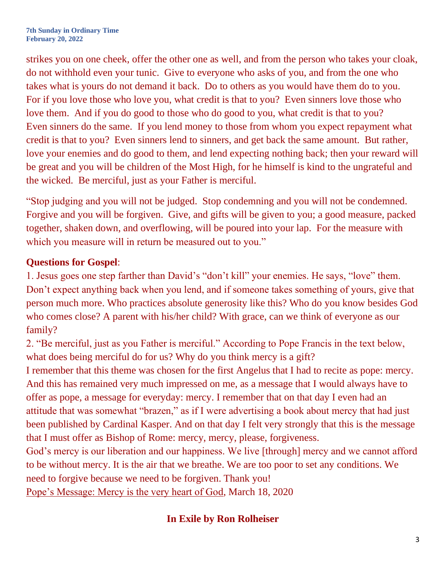strikes you on one cheek, offer the other one as well, and from the person who takes your cloak, do not withhold even your tunic. Give to everyone who asks of you, and from the one who takes what is yours do not demand it back. Do to others as you would have them do to you. For if you love those who love you, what credit is that to you? Even sinners love those who love them. And if you do good to those who do good to you, what credit is that to you? Even sinners do the same. If you lend money to those from whom you expect repayment what credit is that to you? Even sinners lend to sinners, and get back the same amount. But rather, love your enemies and do good to them, and lend expecting nothing back; then your reward will be great and you will be children of the Most High, for he himself is kind to the ungrateful and the wicked. Be merciful, just as your Father is merciful.

"Stop judging and you will not be judged. Stop condemning and you will not be condemned. Forgive and you will be forgiven. Give, and gifts will be given to you; a good measure, packed together, shaken down, and overflowing, will be poured into your lap. For the measure with which you measure will in return be measured out to you."

#### **Questions for Gospel**:

1. Jesus goes one step farther than David's "don't kill" your enemies. He says, "love" them. Don't expect anything back when you lend, and if someone takes something of yours, give that person much more. Who practices absolute generosity like this? Who do you know besides God who comes close? A parent with his/her child? With grace, can we think of everyone as our family?

2. "Be merciful, just as you Father is merciful." According to Pope Francis in the text below, what does being merciful do for us? Why do you think mercy is a gift?

I remember that this theme was chosen for the first Angelus that I had to recite as pope: mercy. And this has remained very much impressed on me, as a message that I would always have to offer as pope, a message for everyday: mercy. I remember that on that day I even had an attitude that was somewhat "brazen," as if I were advertising a book about mercy that had just been published by Cardinal Kasper. And on that day I felt very strongly that this is the message that I must offer as Bishop of Rome: mercy, mercy, please, forgiveness.

God's mercy is our liberation and our happiness. We live [through] mercy and we cannot afford to be without mercy. It is the air that we breathe. We are too poor to set any conditions. We need to forgive because we need to be forgiven. Thank you!

[Pope's Message: Mercy is the very heart of God](https://www.archstl.org/popes-message-mercy-is-the-very-heart-of-god-5135), March 18, 2020

## **In Exile by Ron Rolheiser**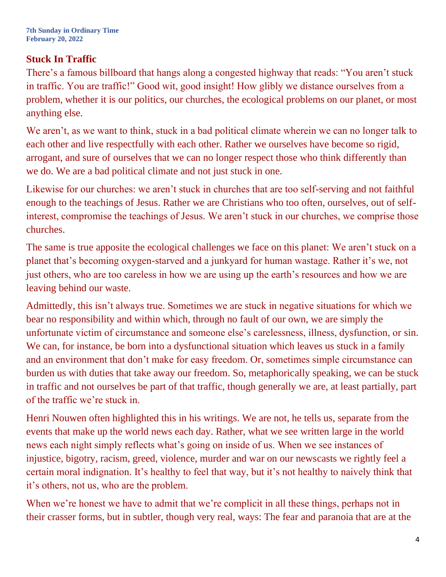## **Stuck In Traffic**

There's a famous billboard that hangs along a congested highway that reads: "You aren't stuck in traffic. You are traffic!" Good wit, good insight! How glibly we distance ourselves from a problem, whether it is our politics, our churches, the ecological problems on our planet, or most anything else.

We aren't, as we want to think, stuck in a bad political climate wherein we can no longer talk to each other and live respectfully with each other. Rather we ourselves have become so rigid, arrogant, and sure of ourselves that we can no longer respect those who think differently than we do. We are a bad political climate and not just stuck in one.

Likewise for our churches: we aren't stuck in churches that are too self-serving and not faithful enough to the teachings of Jesus. Rather we are Christians who too often, ourselves, out of selfinterest, compromise the teachings of Jesus. We aren't stuck in our churches, we comprise those churches.

The same is true apposite the ecological challenges we face on this planet: We aren't stuck on a planet that's becoming oxygen-starved and a junkyard for human wastage. Rather it's we, not just others, who are too careless in how we are using up the earth's resources and how we are leaving behind our waste.

Admittedly, this isn't always true. Sometimes we are stuck in negative situations for which we bear no responsibility and within which, through no fault of our own, we are simply the unfortunate victim of circumstance and someone else's carelessness, illness, dysfunction, or sin. We can, for instance, be born into a dysfunctional situation which leaves us stuck in a family and an environment that don't make for easy freedom. Or, sometimes simple circumstance can burden us with duties that take away our freedom. So, metaphorically speaking, we can be stuck in traffic and not ourselves be part of that traffic, though generally we are, at least partially, part of the traffic we're stuck in.

Henri Nouwen often highlighted this in his writings. We are not, he tells us, separate from the events that make up the world news each day. Rather, what we see written large in the world news each night simply reflects what's going on inside of us. When we see instances of injustice, bigotry, racism, greed, violence, murder and war on our newscasts we rightly feel a certain moral indignation. It's healthy to feel that way, but it's not healthy to naively think that it's others, not us, who are the problem.

When we're honest we have to admit that we're complicit in all these things, perhaps not in their crasser forms, but in subtler, though very real, ways: The fear and paranoia that are at the